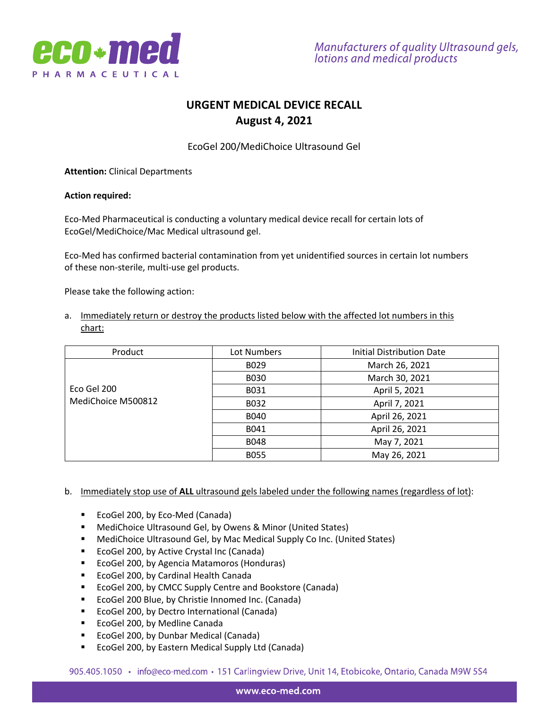

# **URGENT MEDICAL DEVICE RECALL August 4, 2021**

EcoGel 200/MediChoice Ultrasound Gel

**Attention:** Clinical Departments

#### **Action required:**

Eco-Med Pharmaceutical is conducting a voluntary medical device recall for certain lots of EcoGel/MediChoice/Mac Medical ultrasound gel.

Eco-Med has confirmed bacterial contamination from yet unidentified sources in certain lot numbers of these non-sterile, multi-use gel products.

Please take the following action:

a. Immediately return or destroy the products listed below with the affected lot numbers in this chart:

| Product            | Lot Numbers | <b>Initial Distribution Date</b> |
|--------------------|-------------|----------------------------------|
|                    | B029        | March 26, 2021                   |
|                    | <b>B030</b> | March 30, 2021                   |
| Eco Gel 200        | B031        | April 5, 2021                    |
| MediChoice M500812 | B032        | April 7, 2021                    |
|                    | B040        | April 26, 2021                   |
|                    | B041        | April 26, 2021                   |
|                    | <b>B048</b> | May 7, 2021                      |
|                    | <b>B055</b> | May 26, 2021                     |

b. Immediately stop use of **ALL** ultrasound gels labeled under the following names (regardless of lot):

- EcoGel 200, by Eco-Med (Canada)
- MediChoice Ultrasound Gel, by Owens & Minor (United States)
- MediChoice Ultrasound Gel, by Mac Medical Supply Co Inc. (United States)
- EcoGel 200, by Active Crystal Inc (Canada)
- EcoGel 200, by Agencia Matamoros (Honduras)
- EcoGel 200, by Cardinal Health Canada
- EcoGel 200, by CMCC Supply Centre and Bookstore (Canada)
- EcoGel 200 Blue, by Christie Innomed Inc. (Canada)
- EcoGel 200, by Dectro International (Canada)
- EcoGel 200, by Medline Canada
- EcoGel 200, by Dunbar Medical (Canada)
- § EcoGel 200, by Eastern Medical Supply Ltd (Canada)

905.405.1050 • info@eco-med.com • 151 Carlingview Drive, Unit 14, Etobicoke, Ontario, Canada M9W 5S4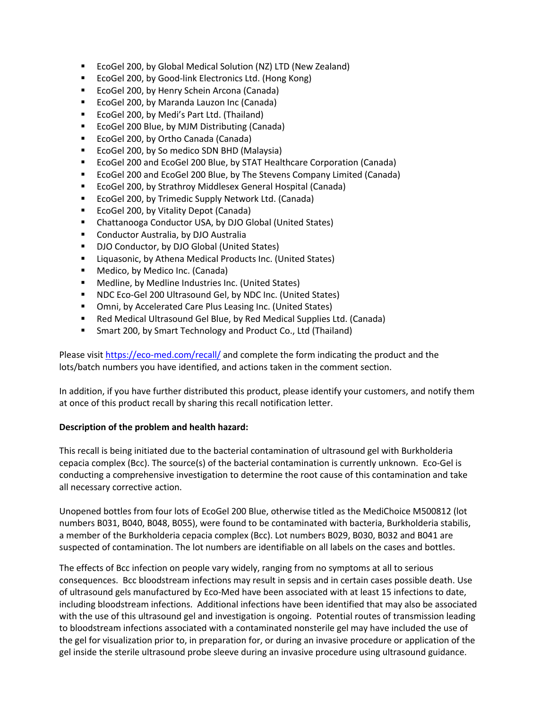- EcoGel 200, by Global Medical Solution (NZ) LTD (New Zealand)
- EcoGel 200, by Good-link Electronics Ltd. (Hong Kong)
- EcoGel 200, by Henry Schein Arcona (Canada)
- EcoGel 200, by Maranda Lauzon Inc (Canada)
- EcoGel 200, by Medi's Part Ltd. (Thailand)
- EcoGel 200 Blue, by MJM Distributing (Canada)
- EcoGel 200, by Ortho Canada (Canada)
- EcoGel 200, by So medico SDN BHD (Malaysia)
- EcoGel 200 and EcoGel 200 Blue, by STAT Healthcare Corporation (Canada)
- EcoGel 200 and EcoGel 200 Blue, by The Stevens Company Limited (Canada)
- EcoGel 200, by Strathroy Middlesex General Hospital (Canada)
- EcoGel 200, by Trimedic Supply Network Ltd. (Canada)
- EcoGel 200, by Vitality Depot (Canada)
- Chattanooga Conductor USA, by DJO Global (United States)
- Conductor Australia, by DJO Australia
- DJO Conductor, by DJO Global (United States)
- Liquasonic, by Athena Medical Products Inc. (United States)
- Medico, by Medico Inc. (Canada)
- Medline, by Medline Industries Inc. (United States)
- NDC Eco-Gel 200 Ultrasound Gel, by NDC Inc. (United States)
- Omni, by Accelerated Care Plus Leasing Inc. (United States)
- Red Medical Ultrasound Gel Blue, by Red Medical Supplies Ltd. (Canada)
- Smart 200, by Smart Technology and Product Co., Ltd (Thailand)

Please visit https://eco-med.com/recall/ and complete the form indicating the product and the lots/batch numbers you have identified, and actions taken in the comment section.

In addition, if you have further distributed this product, please identify your customers, and notify them at once of this product recall by sharing this recall notification letter.

## **Description of the problem and health hazard:**

This recall is being initiated due to the bacterial contamination of ultrasound gel with Burkholderia cepacia complex (Bcc). The source(s) of the bacterial contamination is currently unknown. Eco-Gel is conducting a comprehensive investigation to determine the root cause of this contamination and take all necessary corrective action.

Unopened bottles from four lots of EcoGel 200 Blue, otherwise titled as the MediChoice M500812 (lot numbers B031, B040, B048, B055), were found to be contaminated with bacteria, Burkholderia stabilis, a member of the Burkholderia cepacia complex (Bcc). Lot numbers B029, B030, B032 and B041 are suspected of contamination. The lot numbers are identifiable on all labels on the cases and bottles.

The effects of Bcc infection on people vary widely, ranging from no symptoms at all to serious consequences. Bcc bloodstream infections may result in sepsis and in certain cases possible death. Use of ultrasound gels manufactured by Eco-Med have been associated with at least 15 infections to date, including bloodstream infections. Additional infections have been identified that may also be associated with the use of this ultrasound gel and investigation is ongoing. Potential routes of transmission leading to bloodstream infections associated with a contaminated nonsterile gel may have included the use of the gel for visualization prior to, in preparation for, or during an invasive procedure or application of the gel inside the sterile ultrasound probe sleeve during an invasive procedure using ultrasound guidance.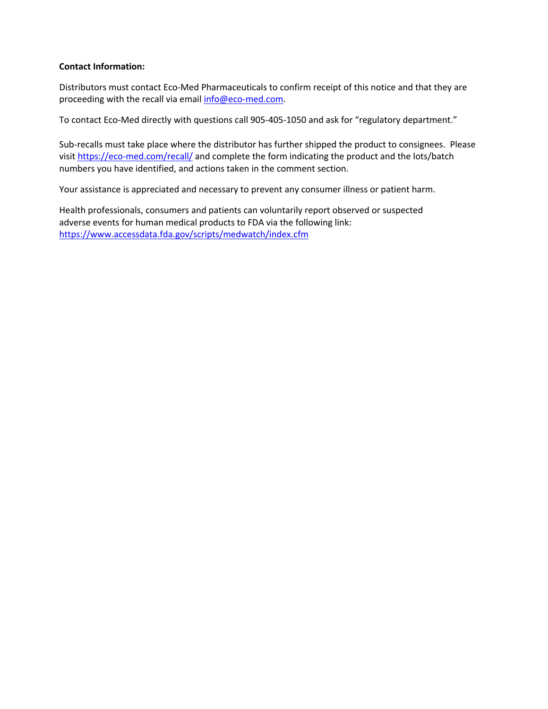## **Contact Information:**

Distributors must contact Eco-Med Pharmaceuticals to confirm receipt of this notice and that they are proceeding with the recall via email info@eco-med.com.

To contact Eco-Med directly with questions call 905-405-1050 and ask for "regulatory department."

Sub-recalls must take place where the distributor has further shipped the product to consignees. Please visit https://eco-med.com/recall/ and complete the form indicating the product and the lots/batch numbers you have identified, and actions taken in the comment section.

Your assistance is appreciated and necessary to prevent any consumer illness or patient harm.

Health professionals, consumers and patients can voluntarily report observed or suspected adverse events for human medical products to FDA via the following link: https://www.accessdata.fda.gov/scripts/medwatch/index.cfm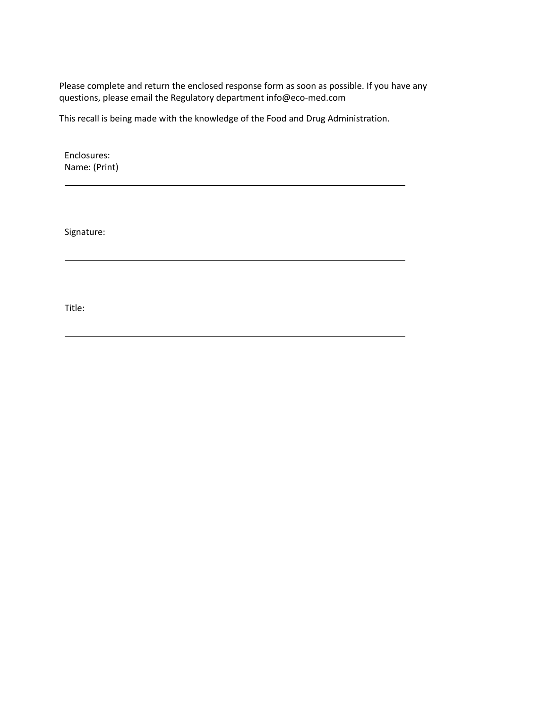Please complete and return the enclosed response form as soon as possible. If you have any questions, please email the Regulatory department info@eco-med.com

This recall is being made with the knowledge of the Food and Drug Administration.

Enclosures: Name: (Print)

Signature:

Title: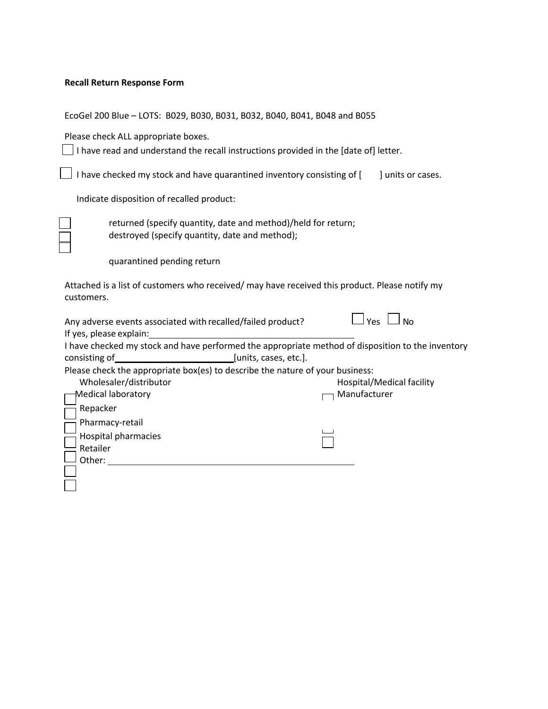#### **Recall Return Response Form**

EcoGel 200 Blue – LOTS: B029, B030, B031, B032, B040, B041, B048 and B055

Please check ALL appropriate boxes.

 $\Box$  I have read and understand the recall instructions provided in the [date of] letter.

| $\Box$ I have checked my stock and have quarantined inventory consisting of [ |  | ] units or cases. |
|-------------------------------------------------------------------------------|--|-------------------|
|                                                                               |  |                   |

Indicate disposition of recalled product:

returned (specify quantity, date and method)/held for return; destroyed (specify quantity, date and method);

quarantined pending return

Attached is a list of customers who received/ may have received this product. Please notify my customers.

 $\overline{\phantom{0}}$ 

 $\overline{\phantom{0}}$ 

| Any adverse events associated with recalled/failed product?<br>Yes<br>N٥                          |                           |  |  |  |
|---------------------------------------------------------------------------------------------------|---------------------------|--|--|--|
| If yes, please explain:                                                                           |                           |  |  |  |
| I have checked my stock and have performed the appropriate method of disposition to the inventory |                           |  |  |  |
| consisting of                                                                                     | [units, cases, etc.].     |  |  |  |
| Please check the appropriate box(es) to describe the nature of your business:                     |                           |  |  |  |
| Wholesaler/distributor                                                                            | Hospital/Medical facility |  |  |  |
| <b>Medical laboratory</b>                                                                         | Manufacturer              |  |  |  |
| Repacker                                                                                          |                           |  |  |  |
| Pharmacy-retail                                                                                   |                           |  |  |  |
| Hospital pharmacies                                                                               |                           |  |  |  |
| Retailer                                                                                          |                           |  |  |  |
| Other:                                                                                            |                           |  |  |  |
|                                                                                                   |                           |  |  |  |
|                                                                                                   |                           |  |  |  |